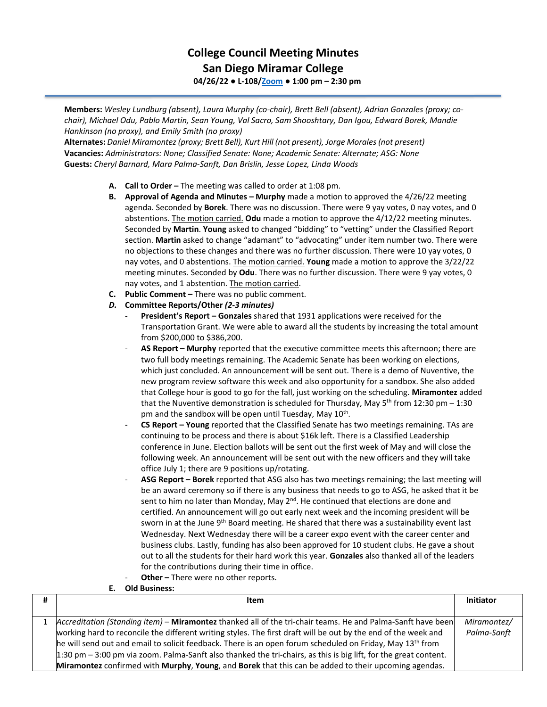## **College Council Meeting Minutes San Diego Miramar College 04/26/22 ● L-108[/Zoom](https://cccconfer.zoom.us/j/92354948089?pwd=clQvQ3pSdi84K2xTSnVLN1UyOXhpQT09) ● 1:00 pm – 2:30 pm**

**Members:** *Wesley Lundburg (absent), Laura Murphy (co-chair), Brett Bell (absent), Adrian Gonzales (proxy; cochair), Michael Odu, Pablo Martin, Sean Young, Val Sacro, Sam Shooshtary, Dan Igou, Edward Borek, Mandie Hankinson (no proxy), and Emily Smith (no proxy)*

**Alternates:** *Daniel Miramontez(proxy; Brett Bell), Kurt Hill (not present), Jorge Morales(not present)* **Vacancies:** *Administrators: None; Classified Senate: None; Academic Senate: Alternate; ASG: None* **Guests:** *Cheryl Barnard, Mara Palma-Sanft, Dan Brislin, Jesse Lopez, Linda Woods*

- **A. Call to Order –** The meeting was called to order at 1:08 pm.
- **B. Approval of Agenda and Minutes – Murphy** made a motion to approved the 4/26/22 meeting agenda. Seconded by **Borek**. There was no discussion. There were 9 yay votes, 0 nay votes, and 0 abstentions. The motion carried. **Odu** made a motion to approve the 4/12/22 meeting minutes. Seconded by **Martin**. **Young** asked to changed "bidding" to "vetting" under the Classified Report section. **Martin** asked to change "adamant" to "advocating" under item number two. There were no objections to these changes and there was no further discussion. There were 10 yay votes, 0 nay votes, and 0 abstentions. The motion carried. **Young** made a motion to approve the 3/22/22 meeting minutes. Seconded by **Odu**. There was no further discussion. There were 9 yay votes, 0 nay votes, and 1 abstention. The motion carried.
- **C. Public Comment –** There was no public comment.
- *D.* **Committee Reports/Other** *(2-3 minutes)*
	- **President's Report – Gonzales** shared that 1931 applications were received for the Transportation Grant. We were able to award all the students by increasing the total amount from \$200,000 to \$386,200.
	- **AS Report – Murphy** reported that the executive committee meets this afternoon; there are two full body meetings remaining. The Academic Senate has been working on elections, which just concluded. An announcement will be sent out. There is a demo of Nuventive, the new program review software this week and also opportunity for a sandbox. She also added that College hour is good to go for the fall, just working on the scheduling. **Miramontez** added that the Nuventive demonstration is scheduled for Thursday, May  $5<sup>th</sup>$  from 12:30 pm – 1:30 pm and the sandbox will be open until Tuesday, May 10<sup>th</sup>.
	- **CS Report – Young** reported that the Classified Senate has two meetings remaining. TAs are continuing to be process and there is about \$16k left. There is a Classified Leadership conference in June. Election ballots will be sent out the first week of May and will close the following week. An announcement will be sent out with the new officers and they will take office July 1; there are 9 positions up/rotating.
	- **ASG Report – Borek** reported that ASG also has two meetings remaining; the last meeting will be an award ceremony so if there is any business that needs to go to ASG, he asked that it be sent to him no later than Monday, May  $2^{nd}$ . He continued that elections are done and certified. An announcement will go out early next week and the incoming president will be sworn in at the June  $9<sup>th</sup>$  Board meeting. He shared that there was a sustainability event last Wednesday. Next Wednesday there will be a career expo event with the career center and business clubs. Lastly, funding has also been approved for 10 student clubs. He gave a shout out to all the students for their hard work this year. **Gonzales** also thanked all of the leaders for the contributions during their time in office.
	- Other There were no other reports.

|   | <b>Old Business:</b>                                                                                                                                                                                                                    |                  |
|---|-----------------------------------------------------------------------------------------------------------------------------------------------------------------------------------------------------------------------------------------|------------------|
| # | Item                                                                                                                                                                                                                                    | <b>Initiator</b> |
|   | Accreditation (Standing item) - Miramontez thanked all of the tri-chair teams. He and Palma-Sanft have been                                                                                                                             | Miramontez/      |
|   | working hard to reconcile the different writing styles. The first draft will be out by the end of the week and<br>he will send out and email to solicit feedback. There is an open forum scheduled on Friday, May 13 <sup>th</sup> from | Palma-Sanft      |
|   | 1:30 pm - 3:00 pm via zoom. Palma-Sanft also thanked the tri-chairs, as this is big lift, for the great content.<br>Miramontez confirmed with Murphy, Young, and Borek that this can be added to their upcoming agendas.                |                  |